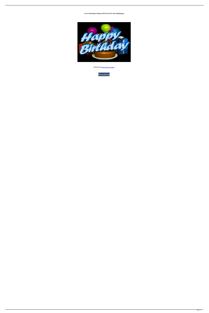## **Corel VideoStudio Ultimate 2019 22.3.0.433 (x64) Multilingual**



**DOWNLOAD:** <https://tinurli.com/2ikkio>